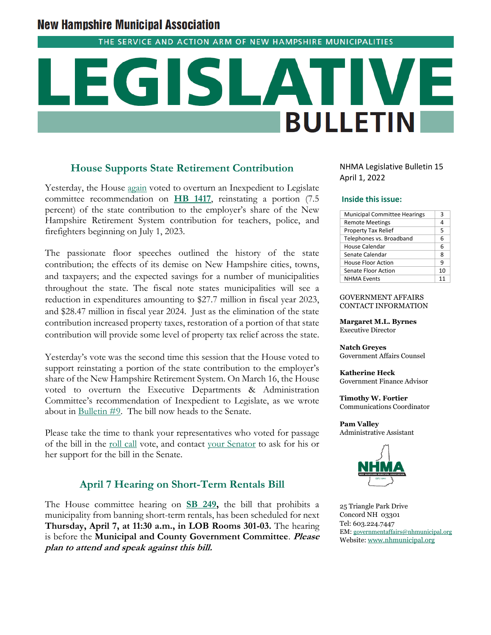# **New Hampshire Municipal Association**

THE SERVICE AND ACTION ARM OF NEW HAMPSHIRE MUNICIPALITIES

# **BULLETIN**

# **House Supports State Retirement Contribution**

Yesterday, the House [again](https://www.nhmunicipal.org/legislative-bulletin/2022-nhma-legislative-bulletin-09#26684) voted to overturn an Inexpedient to Legislate committee recommendation on **[HB 1417](http://www.gencourt.state.nh.us/bill_status/pdf.aspx?id=28309&q=billVersion)**, reinstating a portion (7.5 percent) of the state contribution to the employer's share of the New Hampshire Retirement System contribution for teachers, police, and firefighters beginning on July 1, 2023.

The passionate floor speeches outlined the history of the state contribution; the effects of its demise on New Hampshire cities, towns, and taxpayers; and the expected savings for a number of municipalities throughout the state. The fiscal note states municipalities will see a reduction in expenditures amounting to \$27.7 million in fiscal year 2023, and \$28.47 million in fiscal year 2024. Just as the elimination of the state contribution increased property taxes, restoration of a portion of that state contribution will provide some level of property tax relief across the state.

Yesterday's vote was the second time this session that the House voted to support reinstating a portion of the state contribution to the employer's share of the New Hampshire Retirement System. On March 16, the House voted to overturn the Executive Departments & Administration Committee's recommendation of Inexpedient to Legislate, as we wrote about in [Bulletin #9.](https://www.nhmunicipal.org/legislative-bulletin/2022-nhma-legislative-bulletin-09) The bill now heads to the Senate.

Please take the time to thank your representatives who voted for passage of the bill in the [roll call](http://www.gencourt.state.nh.us/bill_status/billinfo.aspx?id=1912&inflect=2) vote, and contact [your Senator](http://www.gencourt.state.nh.us/senate/members/wml.aspx) to ask for his or her support for the bill in the Senate.

# **April 7 Hearing on Short-Term Rentals Bill**

The House committee hearing on **[SB 249,](http://www.gencourt.state.nh.us/bill_status/pdf.aspx?id=31859&q=billVersion)** the bill that prohibits a municipality from banning short-term rentals, has been scheduled for next **Thursday, April 7, at 11:30 a.m., in LOB Rooms 301-03.** The hearing is before the **Municipal and County Government Committee**. **Please plan to attend and speak against this bill.**

NHMA Legislative Bulletin 15 April 1, 2022

### **Inside this issue:**

| <b>Municipal Committee Hearings</b> | 3  |
|-------------------------------------|----|
| <b>Remote Meetings</b>              | 4  |
| Property Tax Relief                 | 5  |
| Telephones vs. Broadband            | 6  |
| House Calendar                      | 6  |
| Senate Calendar                     | 8  |
| House Floor Action                  | 9  |
| <b>Senate Floor Action</b>          | 10 |
| <b>NHMA Events</b>                  | 11 |

### GOVERNMENT AFFAIRS CONTACT INFORMATION

**Margaret M.L. Byrnes** Executive Director

**Natch Greyes** Government Affairs Counsel

**Katherine Heck** Government Finance Advisor

**Timothy W. Fortier** Communications Coordinator

**Pam Valley** Administrative Assistant



25 Triangle Park Drive Concord NH 03301 Tel: 603.224.7447 EM: [governmentaffairs@nhmunicipal.org](mailto:governmentaffairs@nhmunicipal.org) Website: [www.nhmunicipal.org](http://www.nhmunicipal.org/)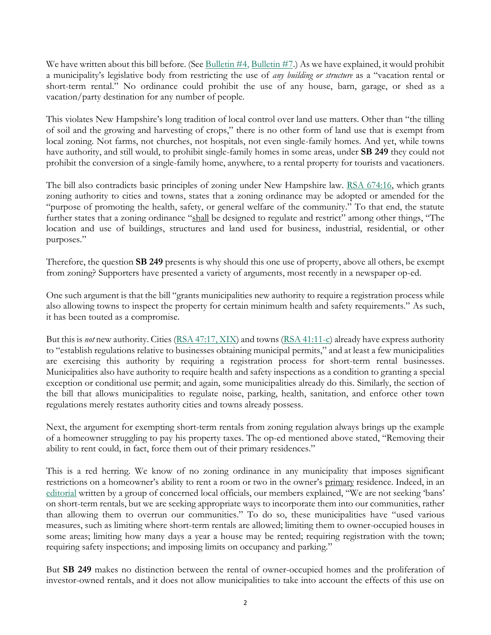We have written about this bill before. (See [Bulletin #4,](https://www.nhmunicipal.org/legislative-bulletin/2022-nhma-legislative-bulletin-04#26351) [Bulletin #7.](https://www.nhmunicipal.org/legislative-bulletin/2022-nhma-legislative-bulletin-07#26556)) As we have explained, it would prohibit a municipality's legislative body from restricting the use of *any building or structure* as a "vacation rental or short-term rental." No ordinance could prohibit the use of any house, barn, garage, or shed as a vacation/party destination for any number of people.

This violates New Hampshire's long tradition of local control over land use matters. Other than "the tilling of soil and the growing and harvesting of crops," there is no other form of land use that is exempt from local zoning. Not farms, not churches, not hospitals, not even single-family homes. And yet, while towns have authority, and still would, to prohibit single-family homes in some areas, under **SB 249** they could not prohibit the conversion of a single-family home, anywhere, to a rental property for tourists and vacationers.

The bill also contradicts basic principles of zoning under New Hampshire law. [RSA 674:16,](http://www.gencourt.state.nh.us/rsa/html/LXIV/674/674-16.htm) which grants zoning authority to cities and towns, states that a zoning ordinance may be adopted or amended for the "purpose of promoting the health, safety, or general welfare of the community." To that end, the statute further states that a zoning ordinance "shall be designed to regulate and restrict" among other things, "The location and use of buildings, structures and land used for business, industrial, residential, or other purposes."

Therefore, the question **SB 249** presents is why should this one use of property, above all others, be exempt from zoning? Supporters have presented a variety of arguments, most recently in a newspaper op-ed.

One such argument is that the bill "grants municipalities new authority to require a registration process while also allowing towns to inspect the property for certain minimum health and safety requirements." As such, it has been touted as a compromise.

But this is *not* new authority. Cities [\(RSA 47:17, XIX\)](http://www.gencourt.state.nh.us/rsa/html/iii/47/47-17.htm) and towns [\(RSA 41:11-c\)](http://www.gencourt.state.nh.us/rsa/html/iii/41/41-11-c.htm) already have express authority to "establish regulations relative to businesses obtaining municipal permits," and at least a few municipalities are exercising this authority by requiring a registration process for short-term rental businesses. Municipalities also have authority to require health and safety inspections as a condition to granting a special exception or conditional use permit; and again, some municipalities already do this. Similarly, the section of the bill that allows municipalities to regulate noise, parking, health, sanitation, and enforce other town regulations merely restates authority cities and towns already possess.

Next, the argument for exempting short-term rentals from zoning regulation always brings up the example of a homeowner struggling to pay his property taxes. The op-ed mentioned above stated, "Removing their ability to rent could, in fact, force them out of their primary residences."

This is a red herring. We know of no zoning ordinance in any municipality that imposes significant restrictions on a homeowner's ability to rent a room or two in the owner's primary residence. Indeed, in an [editorial](https://www.nhbr.com/opinion-proposed-state-mandate-on-short-term-rentals-is-not-right-for-new-hampshire/) written by a group of concerned local officials, our members explained, "We are not seeking 'bans' on short-term rentals, but we are seeking appropriate ways to incorporate them into our communities, rather than allowing them to overrun our communities." To do so, these municipalities have "used various measures, such as limiting where short-term rentals are allowed; limiting them to owner-occupied houses in some areas; limiting how many days a year a house may be rented; requiring registration with the town; requiring safety inspections; and imposing limits on occupancy and parking."

But **SB 249** makes no distinction between the rental of owner-occupied homes and the proliferation of investor-owned rentals, and it does not allow municipalities to take into account the effects of this use on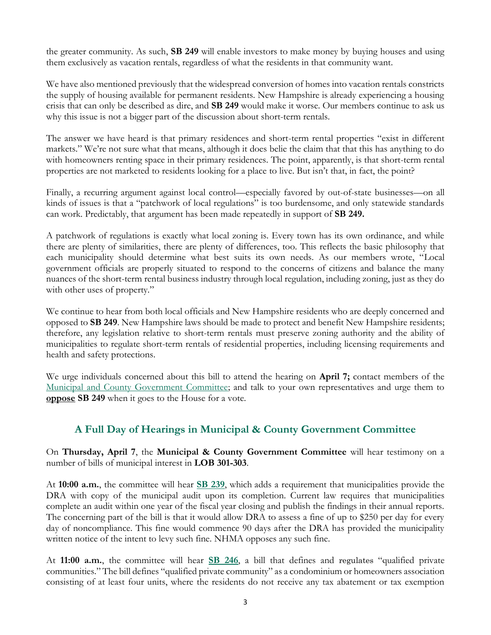the greater community. As such, **SB 249** will enable investors to make money by buying houses and using them exclusively as vacation rentals, regardless of what the residents in that community want.

We have also mentioned previously that the widespread conversion of homes into vacation rentals constricts the supply of housing available for permanent residents. New Hampshire is already experiencing a housing crisis that can only be described as dire, and **SB 249** would make it worse. Our members continue to ask us why this issue is not a bigger part of the discussion about short-term rentals.

The answer we have heard is that primary residences and short-term rental properties "exist in different markets." We're not sure what that means, although it does belie the claim that that this has anything to do with homeowners renting space in their primary residences. The point, apparently, is that short-term rental properties are not marketed to residents looking for a place to live. But isn't that, in fact, the point?

Finally, a recurring argument against local control—especially favored by out-of-state businesses—on all kinds of issues is that a "patchwork of local regulations" is too burdensome, and only statewide standards can work. Predictably, that argument has been made repeatedly in support of **SB 249.**

A patchwork of regulations is exactly what local zoning is. Every town has its own ordinance, and while there are plenty of similarities, there are plenty of differences, too. This reflects the basic philosophy that each municipality should determine what best suits its own needs. As our members wrote, "Local government officials are properly situated to respond to the concerns of citizens and balance the many nuances of the short-term rental business industry through local regulation, including zoning, just as they do with other uses of property."

We continue to hear from both local officials and New Hampshire residents who are deeply concerned and opposed to **SB 249**. New Hampshire laws should be made to protect and benefit New Hampshire residents; therefore, any legislation relative to short-term rentals must preserve zoning authority and the ability of municipalities to regulate short-term rentals of residential properties, including licensing requirements and health and safety protections.

We urge individuals concerned about this bill to attend the hearing on **April 7;** contact members of the [Municipal and County Government Committee;](http://www.gencourt.state.nh.us/house/committees/committeedetails.aspx?id=11) and talk to your own representatives and urge them to **oppose SB 249** when it goes to the House for a vote.

# **A Full Day of Hearings in Municipal & County Government Committee**

On **Thursday, April 7**, the **Municipal & County Government Committee** will hear testimony on a number of bills of municipal interest in **LOB 301-303**.

At **10:00 a.m.**, the committee will hear **[SB 239](http://www.gencourt.state.nh.us/bill_Status/pdf.aspx?id=28952&q=billVersion)**, which adds a requirement that municipalities provide the DRA with copy of the municipal audit upon its completion. Current law requires that municipalities complete an audit within one year of the fiscal year closing and publish the findings in their annual reports. The concerning part of the bill is that it would allow DRA to assess a fine of up to \$250 per day for every day of noncompliance. This fine would commence 90 days after the DRA has provided the municipality written notice of the intent to levy such fine. NHMA opposes any such fine.

At **11:00 a.m.**, the committee will hear **[SB 246](http://www.gencourt.state.nh.us/bill_Status/pdf.aspx?id=32220&q=billVersion)**, a bill that defines and regulates "qualified private communities." The bill defines "qualified private community" as a condominium or homeowners association consisting of at least four units, where the residents do not receive any tax abatement or tax exemption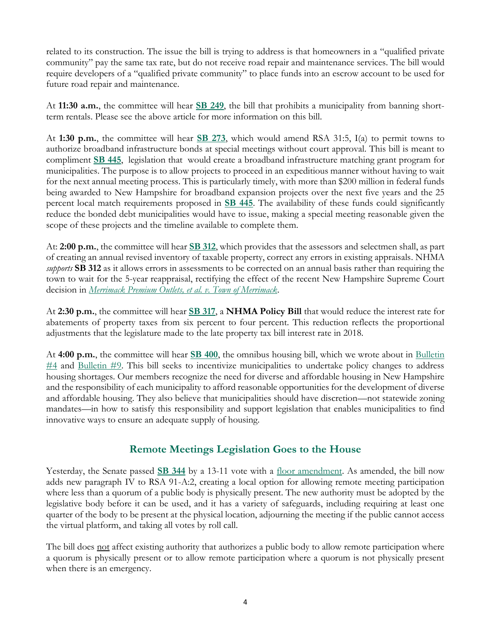related to its construction. The issue the bill is trying to address is that homeowners in a "qualified private community" pay the same tax rate, but do not receive road repair and maintenance services. The bill would require developers of a "qualified private community" to place funds into an escrow account to be used for future road repair and maintenance.

At **11:30 a.m.**, the committee will hear **[SB 249](http://www.gencourt.state.nh.us/bill_status/billinfo.aspx?id=2064&inflect=2)**, the bill that prohibits a municipality from banning shortterm rentals. Please see the above article for more information on this bill.

At **1:30 p.m.**, the committee will hear **[SB 273](http://www.gencourt.state.nh.us/bill_Status/pdf.aspx?id=31199&q=billVersion)**, which would amend RSA 31:5, I(a) to permit towns to authorize broadband infrastructure bonds at special meetings without court approval. This bill is meant to compliment **[SB 445](http://www.gencourt.state.nh.us/bill_status/pdf.aspx?id=33843&q=billVersion)**, legislation that would create a broadband infrastructure matching grant program for municipalities. The purpose is to allow projects to proceed in an expeditious manner without having to wait for the next annual meeting process. This is particularly timely, with more than \$200 million in federal funds being awarded to New Hampshire for broadband expansion projects over the next five years and the 25 percent local match requirements proposed in **[SB 445](http://www.gencourt.state.nh.us/bill_status/pdf.aspx?id=33843&q=billVersion)**. The availability of these funds could significantly reduce the bonded debt municipalities would have to issue, making a special meeting reasonable given the scope of these projects and the timeline available to complete them.

At: **2:00 p.m.**, the committee will hear **[SB 312](http://www.gencourt.state.nh.us/bill_Status/pdf.aspx?id=29014&q=billVersion)**, which provides that the assessors and selectmen shall, as part of creating an annual revised inventory of taxable property, correct any errors in existing appraisals. NHMA *supports* **SB 312** as it allows errors in assessments to be corrected on an annual basis rather than requiring the town to wait for the 5-year reappraisal, rectifying the effect of the recent New Hampshire Supreme Court decision in *[Merrimack Premium Outlets, et al. v. Town of Merrimack](https://www.courts.nh.gov/sites/g/files/ehbemt471/files/documents/2021-10/2021043merrimack-premium-outlets.pdf)*.

At **2:30 p.m.**, the committee will hear **[SB 317](http://www.gencourt.state.nh.us/bill_Status/pdf.aspx?id=31212&q=billVersion)**, a **NHMA Policy Bill** that would reduce the interest rate for abatements of property taxes from six percent to four percent. This reduction reflects the proportional adjustments that the legislature made to the late property tax bill interest rate in 2018.

At **4:00 p.m.**, the committee will hear **[SB 400](http://www.gencourt.state.nh.us/bill_Status/pdf.aspx?id=33314&q=billVersion)**, the omnibus housing bill, which we wrote about in [Bulletin](https://www.nhmunicipal.org/legislative-bulletin/2022-nhma-legislative-bulletin-04#26358)   $\#4$  $\#4$  and Bulletin  $\#9$ . This bill seeks to incentivize municipalities to undertake policy changes to address housing shortages. Our members recognize the need for diverse and affordable housing in New Hampshire and the responsibility of each municipality to afford reasonable opportunities for the development of diverse and affordable housing. They also believe that municipalities should have discretion—not statewide zoning mandates—in how to satisfy this responsibility and support legislation that enables municipalities to find innovative ways to ensure an adequate supply of housing.

# **Remote Meetings Legislation Goes to the House**

Yesterday, the Senate passed **[SB 344](http://www.gencourt.state.nh.us/bill_status/billinfo.aspx?id=2194&inflect=2)** by a 13-11 vote with a [floor amendment.](http://www.gencourt.state.nh.us/bill_status/billinfo.aspx?id=2194&inflect=2) As amended, the bill now adds new paragraph IV to RSA 91-A:2, creating a local option for allowing remote meeting participation where less than a quorum of a public body is physically present. The new authority must be adopted by the legislative body before it can be used, and it has a variety of safeguards, including requiring at least one quarter of the body to be present at the physical location, adjourning the meeting if the public cannot access the virtual platform, and taking all votes by roll call.

The bill does not affect existing authority that authorizes a public body to allow remote participation where a quorum is physically present or to allow remote participation where a quorum is not physically present when there is an emergency.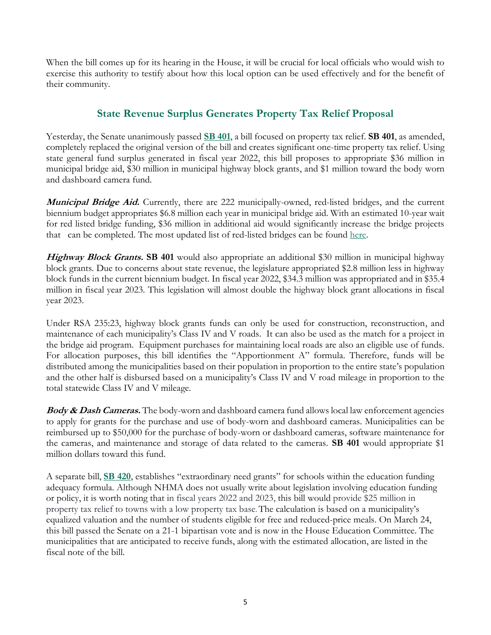When the bill comes up for its hearing in the House, it will be crucial for local officials who would wish to exercise this authority to testify about how this local option can be used effectively and for the benefit of their community.

# **State Revenue Surplus Generates Property Tax Relief Proposal**

Yesterday, the Senate unanimously passed **[SB 401](http://www.gencourt.state.nh.us/bill_status/pdf.aspx?id=33712&q=amendment)**, a bill focused on property tax relief. **SB 401**, as amended, completely replaced the original version of the bill and creates significant one-time property tax relief. Using state general fund surplus generated in fiscal year 2022, this bill proposes to appropriate \$36 million in municipal bridge aid, \$30 million in municipal highway block grants, and \$1 million toward the body worn and dashboard camera fund.

**Municipal Bridge Aid.** Currently, there are 222 municipally-owned, red-listed bridges, and the current biennium budget appropriates \$6.8 million each year in municipal bridge aid. With an estimated 10-year wait for red listed bridge funding, \$36 million in additional aid would significantly increase the bridge projects that can be completed. The most updated list of red-listed bridges can be found [here.](https://www.nh.gov/dot/org/projectdevelopment/bridgedesign/documents/municipal-red-list.pdf)

**Highway Block Grants. SB 401** would also appropriate an additional \$30 million in municipal highway block grants. Due to concerns about state revenue, the legislature appropriated \$2.8 million less in highway block funds in the current biennium budget. In fiscal year 2022, \$34.3 million was appropriated and in \$35.4 million in fiscal year 2023. This legislation will almost double the highway block grant allocations in fiscal year 2023.

Under RSA 235:23, highway block grants funds can only be used for construction, reconstruction, and maintenance of each municipality's Class IV and V roads. It can also be used as the match for a project in the bridge aid program. Equipment purchases for maintaining local roads are also an eligible use of funds. For allocation purposes, this bill identifies the "Apportionment A" formula. Therefore, funds will be distributed among the municipalities based on their population in proportion to the entire state's population and the other half is disbursed based on a municipality's Class IV and V road mileage in proportion to the total statewide Class IV and V mileage.

**Body & Dash Cameras.** The body-worn and dashboard camera fund allows local law enforcement agencies to apply for grants for the purchase and use of body-worn and dashboard cameras. Municipalities can be reimbursed up to \$50,000 for the purchase of body-worn or dashboard cameras, software maintenance for the cameras, and maintenance and storage of data related to the cameras. **SB 401** would appropriate \$1 million dollars toward this fund.

A separate bill, **[SB 420](http://www.gencourt.state.nh.us/bill_status/pdf.aspx?id=29629&q=billVersion)**, establishes "extraordinary need grants" for schools within the education funding adequacy formula. Although NHMA does not usually write about legislation involving education funding or policy, it is worth noting that in fiscal years 2022 and 2023, this bill would provide \$25 million in property tax relief to towns with a low property tax base. The calculation is based on a municipality's equalized valuation and the number of students eligible for free and reduced-price meals. On March 24, this bill passed the Senate on a 21-1 bipartisan vote and is now in the House Education Committee. The municipalities that are anticipated to receive funds, along with the estimated allocation, are listed in the fiscal note of the bill.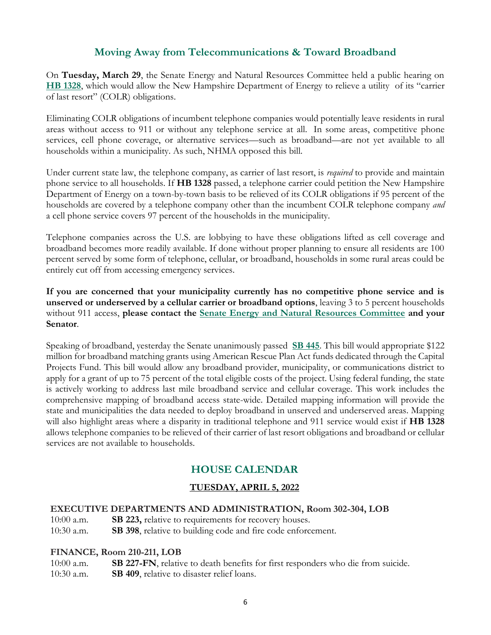# **Moving Away from Telecommunications & Toward Broadband**

On **Tuesday, March 29**, the Senate Energy and Natural Resources Committee held a public hearing on **[HB 1328](http://www.gencourt.state.nh.us/bill_status/pdf.aspx?id=27824&q=billVersion)**, which would allow the New Hampshire Department of Energy to relieve a utility of its "carrier of last resort" (COLR) obligations.

Eliminating COLR obligations of incumbent telephone companies would potentially leave residents in rural areas without access to 911 or without any telephone service at all. In some areas, competitive phone services, cell phone coverage, or alternative services—such as broadband—are not yet available to all households within a municipality. As such, NHMA opposed this bill.

Under current state law, the telephone company, as carrier of last resort, is *required* to provide and maintain phone service to all households. If **HB 1328** passed, a telephone carrier could petition the New Hampshire Department of Energy on a town-by-town basis to be relieved of its COLR obligations if 95 percent of the households are covered by a telephone company other than the incumbent COLR telephone company *and*  a cell phone service covers 97 percent of the households in the municipality.

Telephone companies across the U.S. are lobbying to have these obligations lifted as cell coverage and broadband becomes more readily available. If done without proper planning to ensure all residents are 100 percent served by some form of telephone, cellular, or broadband, households in some rural areas could be entirely cut off from accessing emergency services.

**If you are concerned that your municipality currently has no competitive phone service and is unserved or underserved by a cellular carrier or broadband options**, leaving 3 to 5 percent households without 911 access, **please contact the [Senate Energy and Natural Resources Committee](http://www.gencourt.state.nh.us/senate/committees/committee_details.aspx?cc=41) and your Senator**.

Speaking of broadband, yesterday the Senate unanimously passed **[SB 445](http://www.gencourt.state.nh.us/bill_status/pdf.aspx?id=33705&q=amendment)**. This bill would appropriate \$122 million for broadband matching grants using American Rescue Plan Act funds dedicated through the Capital Projects Fund. This bill would allow any broadband provider, municipality, or communications district to apply for a grant of up to 75 percent of the total eligible costs of the project. Using federal funding, the state is actively working to address last mile broadband service and cellular coverage. This work includes the comprehensive mapping of broadband access state-wide. Detailed mapping information will provide the state and municipalities the data needed to deploy broadband in unserved and underserved areas. Mapping will also highlight areas where a disparity in traditional telephone and 911 service would exist if **HB 1328** allows telephone companies to be relieved of their carrier of last resort obligations and broadband or cellular services are not available to households.

# **HOUSE CALENDAR**

# **TUESDAY, APRIL 5, 2022**

### **EXECUTIVE DEPARTMENTS AND ADMINISTRATION, Room 302-304, LOB**

10:00 a.m. **SB 223,** relative to requirements for recovery houses.

10:30 a.m. **SB 398**, relative to building code and fire code enforcement.

### **FINANCE, Room 210-211, LOB**

10:00 a.m. **SB 227-FN**, relative to death benefits for first responders who die from suicide. 10:30 a.m. **SB 409**, relative to disaster relief loans.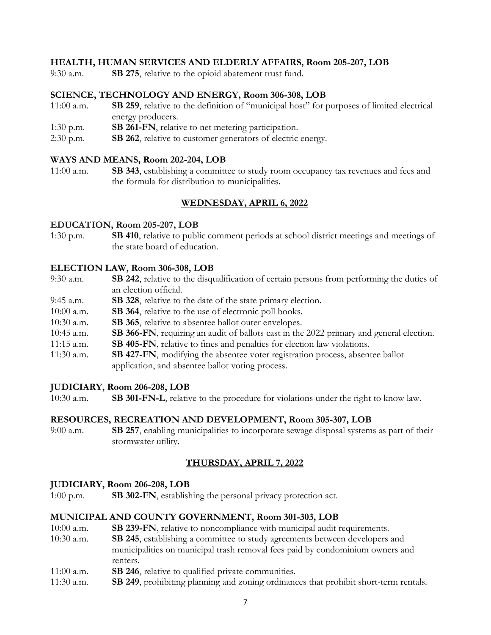### **HEALTH, HUMAN SERVICES AND ELDERLY AFFAIRS, Room 205-207, LOB**

9:30 a.m. **SB 275**, relative to the opioid abatement trust fund.

### **SCIENCE, TECHNOLOGY AND ENERGY, Room 306-308, LOB**

- 11:00 a.m. **SB 259**, relative to the definition of "municipal host" for purposes of limited electrical energy producers.
- 1:30 p.m. **SB 261-FN**, relative to net metering participation.
- 2:30 p.m. **SB 262**, relative to customer generators of electric energy.

### **WAYS AND MEANS, Room 202-204, LOB**

11:00 a.m. **SB 343**, establishing a committee to study room occupancy tax revenues and fees and the formula for distribution to municipalities.

## **WEDNESDAY, APRIL 6, 2022**

### **EDUCATION, Room 205-207, LOB**

1:30 p.m. **SB 410**, relative to public comment periods at school district meetings and meetings of the state board of education.

### **ELECTION LAW, Room 306-308, LOB**

- 9:30 a.m. **SB 242**, relative to the disqualification of certain persons from performing the duties of an election official.
- 9:45 a.m. **SB 328**, relative to the date of the state primary election.
- 10:00 a.m. **SB 364**, relative to the use of electronic poll books.
- 10:30 a.m. **SB 365**, relative to absentee ballot outer envelopes.
- 10:45 a.m. **SB 366-FN**, requiring an audit of ballots cast in the 2022 primary and general election.
- 11:15 a.m. **SB 405-FN**, relative to fines and penalties for election law violations.
- 11:30 a.m. **SB 427-FN**, modifying the absentee voter registration process, absentee ballot application, and absentee ballot voting process.

### **JUDICIARY, Room 206-208, LOB**

10:30 a.m. **SB 301-FN-L**, relative to the procedure for violations under the right to know law.

### **RESOURCES, RECREATION AND DEVELOPMENT, Room 305-307, LOB**

9:00 a.m. **SB 257**, enabling municipalities to incorporate sewage disposal systems as part of their stormwater utility.

### **THURSDAY, APRIL 7, 2022**

### **JUDICIARY, Room 206-208, LOB**

1:00 p.m. **SB 302-FN**, establishing the personal privacy protection act.

### **MUNICIPAL AND COUNTY GOVERNMENT, Room 301-303, LOB**

- 10:00 a.m. **SB 239-FN**, relative to noncompliance with municipal audit requirements.
- 10:30 a.m. **SB 245**, establishing a committee to study agreements between developers and municipalities on municipal trash removal fees paid by condominium owners and renters.
- 11:00 a.m. **SB 246**, relative to qualified private communities.
- 11:30 a.m. **SB 249**, prohibiting planning and zoning ordinances that prohibit short-term rentals.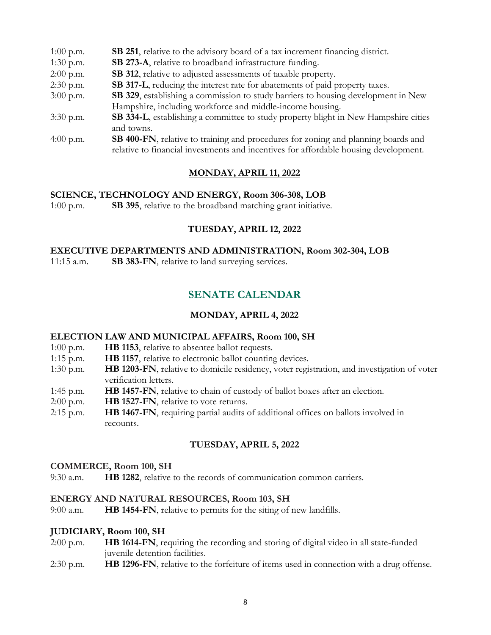| $1:00$ p.m. | SB 251, relative to the advisory board of a tax increment financing district.                                                                                                     |
|-------------|-----------------------------------------------------------------------------------------------------------------------------------------------------------------------------------|
| $1:30$ p.m. | SB 273-A, relative to broadband infrastructure funding.                                                                                                                           |
| $2:00$ p.m. | SB 312, relative to adjusted assessments of taxable property.                                                                                                                     |
| $2:30$ p.m. | SB 317-L, reducing the interest rate for abatements of paid property taxes.                                                                                                       |
| $3:00$ p.m. | SB 329, establishing a commission to study barriers to housing development in New                                                                                                 |
|             | Hampshire, including workforce and middle-income housing.                                                                                                                         |
| $3:30$ p.m. | SB 334-L, establishing a committee to study property blight in New Hampshire cities                                                                                               |
|             | and towns.                                                                                                                                                                        |
| 4:00 p.m.   | <b>SB 400-FN</b> , relative to training and procedures for zoning and planning boards and<br>relative to financial investments and incentives for affordable housing development. |
|             |                                                                                                                                                                                   |

### **MONDAY, APRIL 11, 2022**

### **SCIENCE, TECHNOLOGY AND ENERGY, Room 306-308, LOB**

1:00 p.m. **SB 395**, relative to the broadband matching grant initiative.

### **TUESDAY, APRIL 12, 2022**

## **EXECUTIVE DEPARTMENTS AND ADMINISTRATION, Room 302-304, LOB**

11:15 a.m. **SB 383-FN**, relative to land surveying services.

# **SENATE CALENDAR**

### **MONDAY, APRIL 4, 2022**

### **ELECTION LAW AND MUNICIPAL AFFAIRS, Room 100, SH**

- 1:00 p.m. **HB 1153**, relative to absentee ballot requests.
- 1:15 p.m. **HB 1157**, relative to electronic ballot counting devices.
- 1:30 p.m. **HB 1203-FN**, relative to domicile residency, voter registration, and investigation of voter verification letters.
- 1:45 p.m. **HB 1457-FN**, relative to chain of custody of ballot boxes after an election.
- 2:00 p.m. **HB 1527-FN**, relative to vote returns.
- 2:15 p.m. **HB 1467-FN**, requiring partial audits of additional offices on ballots involved in recounts.

### **TUESDAY, APRIL 5, 2022**

### **COMMERCE, Room 100, SH**

9:30 a.m. **HB 1282**, relative to the records of communication common carriers.

### **ENERGY AND NATURAL RESOURCES, Room 103, SH**

9:00 a.m. **HB 1454-FN**, relative to permits for the siting of new landfills.

### **JUDICIARY, Room 100, SH**

- 2:00 p.m. **HB 1614-FN**, requiring the recording and storing of digital video in all state-funded juvenile detention facilities.
- 2:30 p.m. **HB 1296-FN**, relative to the forfeiture of items used in connection with a drug offense.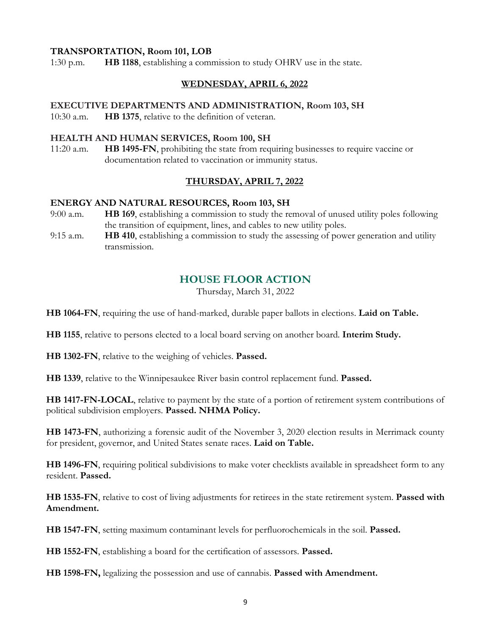### **TRANSPORTATION, Room 101, LOB**

1:30 p.m. **HB 1188**, establishing a commission to study OHRV use in the state.

### **WEDNESDAY, APRIL 6, 2022**

### **EXECUTIVE DEPARTMENTS AND ADMINISTRATION, Room 103, SH**

10:30 a.m. **HB 1375**, relative to the definition of veteran.

### **HEALTH AND HUMAN SERVICES, Room 100, SH**

11:20 a.m. **HB 1495-FN**, prohibiting the state from requiring businesses to require vaccine or documentation related to vaccination or immunity status.

### **THURSDAY, APRIL 7, 2022**

### **ENERGY AND NATURAL RESOURCES, Room 103, SH**

- 9:00 a.m. **HB 169**, establishing a commission to study the removal of unused utility poles following the transition of equipment, lines, and cables to new utility poles.
- 9:15 a.m. **HB 410**, establishing a commission to study the assessing of power generation and utility transmission.

# **HOUSE FLOOR ACTION**

Thursday, March 31, 2022

**HB 1064-FN**, requiring the use of hand-marked, durable paper ballots in elections. **Laid on Table.**

**HB 1155**, relative to persons elected to a local board serving on another board. **Interim Study.**

**HB 1302-FN**, relative to the weighing of vehicles. **Passed.** 

**HB 1339**, relative to the Winnipesaukee River basin control replacement fund. **Passed.**

**HB 1417-FN-LOCAL**, relative to payment by the state of a portion of retirement system contributions of political subdivision employers. **Passed. NHMA Policy.**

**HB 1473-FN**, authorizing a forensic audit of the November 3, 2020 election results in Merrimack county for president, governor, and United States senate races. **Laid on Table.**

**HB 1496-FN**, requiring political subdivisions to make voter checklists available in spreadsheet form to any resident. **Passed.**

**HB 1535-FN**, relative to cost of living adjustments for retirees in the state retirement system. **Passed with Amendment.**

**HB 1547-FN**, setting maximum contaminant levels for perfluorochemicals in the soil. **Passed.**

**HB 1552-FN**, establishing a board for the certification of assessors. **Passed.**

**HB 1598-FN,** legalizing the possession and use of cannabis. **Passed with Amendment.**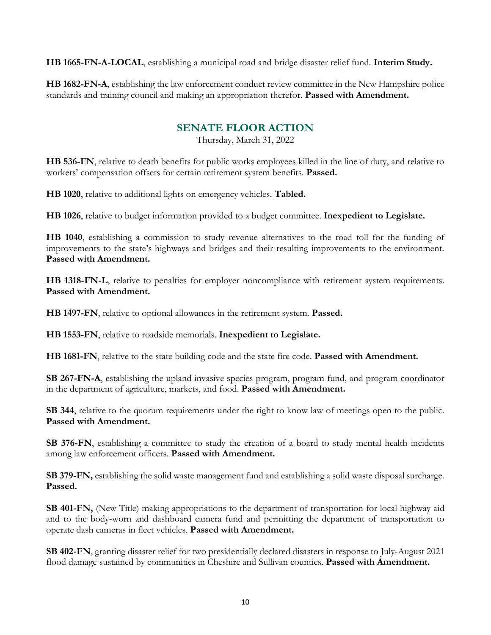**HB 1665-FN-A-LOCAL**, establishing a municipal road and bridge disaster relief fund. **Interim Study.**

**HB 1682-FN-A**, establishing the law enforcement conduct review committee in the New Hampshire police standards and training council and making an appropriation therefor. **Passed with Amendment.**

# **SENATE FLOOR ACTION**

Thursday, March 31, 2022

**HB 536-FN**, relative to death benefits for public works employees killed in the line of duty, and relative to workers' compensation offsets for certain retirement system benefits. **Passed.**

**HB 1020**, relative to additional lights on emergency vehicles. **Tabled.**

**HB 1026**, relative to budget information provided to a budget committee. **Inexpedient to Legislate.**

**HB 1040**, establishing a commission to study revenue alternatives to the road toll for the funding of improvements to the state's highways and bridges and their resulting improvements to the environment. **Passed with Amendment.**

**HB 1318-FN-L**, relative to penalties for employer noncompliance with retirement system requirements. **Passed with Amendment.**

**HB 1497-FN**, relative to optional allowances in the retirement system. **Passed.**

**HB 1553-FN**, relative to roadside memorials. **Inexpedient to Legislate.**

**HB 1681-FN**, relative to the state building code and the state fire code. **Passed with Amendment.**

**SB 267-FN-A**, establishing the upland invasive species program, program fund, and program coordinator in the department of agriculture, markets, and food. **Passed with Amendment.**

**SB 344**, relative to the quorum requirements under the right to know law of meetings open to the public. **Passed with Amendment.**

**SB 376-FN**, establishing a committee to study the creation of a board to study mental health incidents among law enforcement officers. **Passed with Amendment.**

**SB 379-FN,** establishing the solid waste management fund and establishing a solid waste disposal surcharge. **Passed.**

**SB 401-FN,** (New Title) making appropriations to the department of transportation for local highway aid and to the body-worn and dashboard camera fund and permitting the department of transportation to operate dash cameras in fleet vehicles. **Passed with Amendment.**

**SB 402-FN**, granting disaster relief for two presidentially declared disasters in response to July-August 2021 flood damage sustained by communities in Cheshire and Sullivan counties. **Passed with Amendment.**